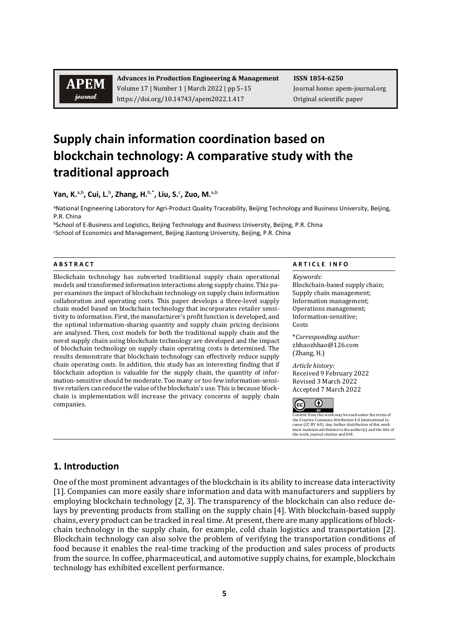# **APEM** journal

**Advances in Production Engineering & Management ISSN 1854-6250** Volume 17 | Number 1 | March 2022 | pp 5–15 Journal home: apem-journal.org https://doi.org/10.14743/apem2022.1.417 Original scientific paper

# **Supply chain information coordination based on blockchain technology: A comparative study with the traditional approach**

**Yan, K.**a,b**, Cui, L.**<sup>b</sup> **, Zhang, H.**b,\***, Liu, S.**<sup>c</sup> **, Zuo, M.**a,b

aNational Engineering Laboratory for Agri-Product Quality Traceability, Beijing Technology and Business University, Beijing, P.R. China<br>**bSchool of E-Business and Logistics, Beijing Technology and Business University, Beijing, P.R. China** 

cSchool of Economics and Management, Beijing Jiaotong University, Beijing, P.R. China

Blockchain technology has subverted traditional supply chain operational models and transformed information interactions along supply chains. This paper examines the impact of blockchain technology on supply chain information collaboration and operating costs. This paper develops a three-level supply chain model based on blockchain technology that incorporates retailer sensitivity to information. First, the manufacturer's profit function is developed, and the optimal information-sharing quantity and supply chain pricing decisions are analysed. Then, cost models for both the traditional supply chain and the novel supply chain using blockchain technology are developed and the impact of blockchain technology on supply chain operating costs is determined. The results demonstrate that blockchain technology can effectively reduce supply chain operating costs. In addition, this study has an interesting finding that if blockchain adoption is valuable for the supply chain, the quantity of information-sensitive should be moderate. Too many or too few information-sensitive retailers can reduce the value of the blockchain's use. This is because blockchain is implementation will increase the privacy concerns of supply chain companies.

#### **A B S T R A C T A R T I C L E I N F O**

*Keywords:* Blockchain-based supply chain;

Supply chain management; Information management; Operations management; Information-sensitive; Costs

\**Corresponding author:*  zhhaozhhao@126.com (Zhang, H.)

*Article history:*  Received 9 February 2022 Revised 3 March 2022 Accepted 7 March 2022



Content from this work may be used under the terms of<br>the Creative Commons Attribution 4.0 International Lithe Creative Commons Attribution 4.0 International Li-cence (CC BY 4.0). Any further distribution of this work must maintain attribution to the author(s) and the title of the work, journal citation and DOI.

# **1. Introduction**

One of the most prominent advantages of the blockchain is its ability to increase data interactivity [1]. Companies can more easily share information and data with manufacturers and suppliers by employing blockchain technology [2, 3]. The transparency of the blockchain can also reduce delays by preventing products from stalling on the supply chain [4]. With blockchain-based supply chains, every product can be tracked in real time. At present, there are many applications of blockchain technology in the supply chain, for example, cold chain logistics and transportation [2]. Blockchain technology can also solve the problem of verifying the transportation conditions of food because it enables the real-time tracking of the production and sales process of products from the source. In coffee, pharmaceutical, and automotive supply chains, for example, blockchain technology has exhibited excellent performance.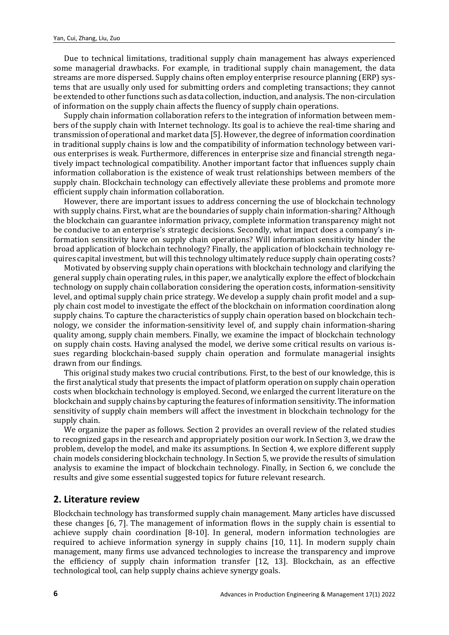Due to technical limitations, traditional supply chain management has always experienced some managerial drawbacks. For example, in traditional supply chain management, the data streams are more dispersed. Supply chains often employ enterprise resource planning (ERP) systems that are usually only used for submitting orders and completing transactions; they cannot be extended to other functions such as data collection, induction, and analysis. The non-circulation of information on the supply chain affects the fluency of supply chain operations.

Supply chain information collaboration refers to the integration of information between members of the supply chain with Internet technology. Its goal is to achieve the real-time sharing and transmission of operational and market data [5]. However, the degree of information coordination in traditional supply chains is low and the compatibility of information technology between various enterprises is weak. Furthermore, differences in enterprise size and financial strength negatively impact technological compatibility. Another important factor that influences supply chain information collaboration is the existence of weak trust relationships between members of the supply chain. Blockchain technology can effectively alleviate these problems and promote more efficient supply chain information collaboration.

However, there are important issues to address concerning the use of blockchain technology with supply chains. First, what are the boundaries of supply chain information-sharing? Although the blockchain can guarantee information privacy, complete information transparency might not be conducive to an enterprise's strategic decisions. Secondly, what impact does a company's information sensitivity have on supply chain operations? Will information sensitivity hinder the broad application of blockchain technology? Finally, the application of blockchain technology requires capital investment, but will this technology ultimately reduce supply chain operating costs?

Motivated by observing supply chain operations with blockchain technology and clarifying the general supply chain operating rules, in this paper, we analytically explore the effect of blockchain technology on supply chain collaboration considering the operation costs, information-sensitivity level, and optimal supply chain price strategy. We develop a supply chain profit model and a supply chain cost model to investigate the effect of the blockchain on information coordination along supply chains. To capture the characteristics of supply chain operation based on blockchain technology, we consider the information-sensitivity level of, and supply chain information-sharing quality among, supply chain members. Finally, we examine the impact of blockchain technology on supply chain costs. Having analysed the model, we derive some critical results on various issues regarding blockchain-based supply chain operation and formulate managerial insights drawn from our findings.

This original study makes two crucial contributions. First, to the best of our knowledge, this is the first analytical study that presents the impact of platform operation on supply chain operation costs when blockchain technology is employed. Second, we enlarged the current literature on the blockchain and supply chains by capturing the features of information sensitivity. The information sensitivity of supply chain members will affect the investment in blockchain technology for the supply chain.

We organize the paper as follows. Section 2 provides an overall review of the related studies to recognized gaps in the research and appropriately position our work. In Section 3, we draw the problem, develop the model, and make its assumptions. In Section 4, we explore different supply chain models considering blockchain technology. In Section 5, we provide the results of simulation analysis to examine the impact of blockchain technology. Finally, in Section 6, we conclude the results and give some essential suggested topics for future relevant research.

# **2. Literature review**

Blockchain technology has transformed supply chain management. Many articles have discussed these changes [6, 7]. The management of information flows in the supply chain is essential to achieve supply chain coordination [8-10]. In general, modern information technologies are required to achieve information synergy in supply chains [10, 11]. In modern supply chain management, many firms use advanced technologies to increase the transparency and improve the efficiency of supply chain information transfer [12, 13]. Blockchain, as an effective technological tool, can help supply chains achieve synergy goals.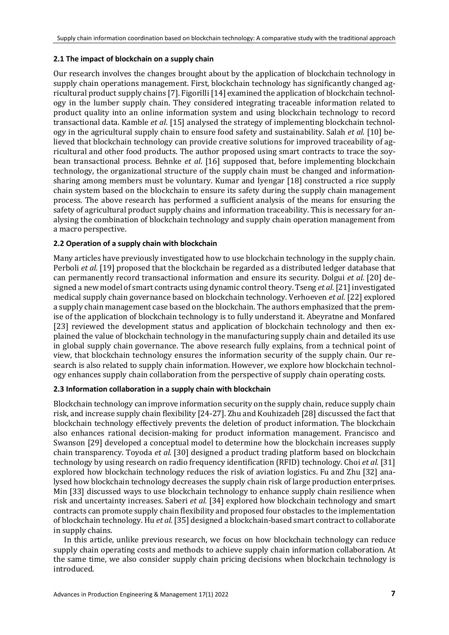### **2.1 The impact of blockchain on a supply chain**

Our research involves the changes brought about by the application of blockchain technology in supply chain operations management. First, blockchain technology has significantly changed agricultural product supply chains [7]. Figorilli [14] examined the application of blockchain technology in the lumber supply chain. They considered integrating traceable information related to product quality into an online information system and using blockchain technology to record transactional data. Kamble *et al*. [15] analysed the strategy of implementing blockchain technology in the agricultural supply chain to ensure food safety and sustainability. Salah *et al*. [10] believed that blockchain technology can provide creative solutions for improved traceability of agricultural and other food products. The author proposed using smart contracts to trace the soybean transactional process. Behnke *et al*. [16] supposed that, before implementing blockchain technology, the organizational structure of the supply chain must be changed and informationsharing among members must be voluntary. Kumar and Iyengar [18] constructed a rice supply chain system based on the blockchain to ensure its safety during the supply chain management process. The above research has performed a sufficient analysis of the means for ensuring the safety of agricultural product supply chains and information traceability. This is necessary for analysing the combination of blockchain technology and supply chain operation management from a macro perspective.

# **2.2 Operation of a supply chain with blockchain**

Many articles have previously investigated how to use blockchain technology in the supply chain. Perboli *et al.* [19] proposed that the blockchain be regarded as a distributed ledger database that can permanently record transactional information and ensure its security. Dolgui *et al.* [20] designed a new model of smart contracts using dynamic control theory. Tseng *et al.*[21] investigated medical supply chain governance based on blockchain technology. Verhoeven *et al.* [22] explored a supply chain management case based on the blockchain. The authors emphasized that the premise of the application of blockchain technology is to fully understand it. Abeyratne and Monfared [23] reviewed the development status and application of blockchain technology and then explained the value of blockchain technology in the manufacturing supply chain and detailed its use in global supply chain governance. The above research fully explains, from a technical point of view, that blockchain technology ensures the information security of the supply chain. Our research is also related to supply chain information. However, we explore how blockchain technology enhances supply chain collaboration from the perspective of supply chain operating costs.

#### **2.3 Information collaboration in a supply chain with blockchain**

Blockchain technology can improve information security on the supply chain, reduce supply chain risk, and increase supply chain flexibility [24-27]. Zhu and Kouhizadeh [28] discussed the fact that blockchain technology effectively prevents the deletion of product information. The blockchain also enhances rational decision-making for product information management. Francisco and Swanson [29] developed a conceptual model to determine how the blockchain increases supply chain transparency. Toyoda *et al.* [30] designed a product trading platform based on blockchain technology by using research on radio frequency identification (RFID) technology. Choi *et al.* [31] explored how blockchain technology reduces the risk of aviation logistics. Fu and Zhu [32] analysed how blockchain technology decreases the supply chain risk of large production enterprises. Min [33] discussed ways to use blockchain technology to enhance supply chain resilience when risk and uncertainty increases. Saberi *et al.* [34] explored how blockchain technology and smart contracts can promote supply chain flexibility and proposed four obstacles to the implementation of blockchain technology. Hu *et al.* [35] designed a blockchain-based smart contract to collaborate in supply chains.

In this article, unlike previous research, we focus on how blockchain technology can reduce supply chain operating costs and methods to achieve supply chain information collaboration. At the same time, we also consider supply chain pricing decisions when blockchain technology is introduced.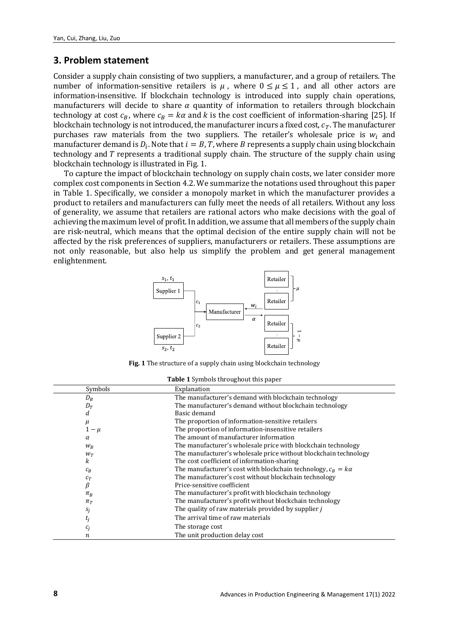# **3. Problem statement**

Consider a supply chain consisting of two suppliers, a manufacturer, and a group of retailers. The number of information-sensitive retailers is  $\mu$ , where  $0 \le \mu \le 1$ , and all other actors are information-insensitive. If blockchain technology is introduced into supply chain operations, manufacturers will decide to share  $\alpha$  quantity of information to retailers through blockchain technology at cost  $c_B$ , where  $c_B = k\alpha$  and k is the cost coefficient of information-sharing [25]. If blockchain technology is not introduced, the manufacturer incurs a fixed cost,  $c_T$ . The manufacturer purchases raw materials from the two suppliers. The retailer's wholesale price is  $w_i$  and manufacturer demand is  $D_i$ . Note that  $i = B, T$ , where B represents a supply chain using blockchain technology and T represents a traditional supply chain. The structure of the supply chain using blockchain technology is illustrated in Fig. 1.

To capture the impact of blockchain technology on supply chain costs, we later consider more complex cost components in Section 4.2. We summarize the notations used throughout this paper in Table 1. Specifically, we consider a monopoly market in which the manufacturer provides a product to retailers and manufacturers can fully meet the needs of all retailers. Without any loss of generality, we assume that retailers are rational actors who make decisions with the goal of achieving the maximum level of profit. In addition, we assume that all members of the supply chain are risk-neutral, which means that the optimal decision of the entire supply chain will not be affected by the risk preferences of suppliers, manufacturers or retailers. These assumptions are not only reasonable, but also help us simplify the problem and get general management enlightenment.



**Fig. 1** The structure of a supply chain using blockchain technology

|  | <b>Table 1</b> Symbols throughout this paper |  |
|--|----------------------------------------------|--|
|  |                                              |  |

| Symbols  | Explanation                                                         |
|----------|---------------------------------------------------------------------|
| $D_B$    | The manufacturer's demand with blockchain technology                |
| $D_T$    | The manufacturer's demand without blockchain technology             |
| d        | Basic demand                                                        |
| $\mu$    | The proportion of information-sensitive retailers                   |
| $1-\mu$  | The proportion of information-insensitive retailers                 |
| $\alpha$ | The amount of manufacturer information                              |
| $W_R$    | The manufacturer's wholesale price with blockchain technology       |
| $W_T$    | The manufacturer's wholesale price without blockchain technology    |
| k        | The cost coefficient of information-sharing                         |
| $c_B$    | The manufacturer's cost with blockchain technology, $c_B = k\alpha$ |
| $c_T$    | The manufacturer's cost without blockchain technology               |
| β        | Price-sensitive coefficient                                         |
| $\pi_B$  | The manufacturer's profit with blockchain technology                |
| $\pi_T$  | The manufacturer's profit without blockchain technology             |
| $S_j$    | The quality of raw materials provided by supplier j                 |
| $t_j$    | The arrival time of raw materials                                   |
| $c_i$    | The storage cost                                                    |
| п        | The unit production delay cost                                      |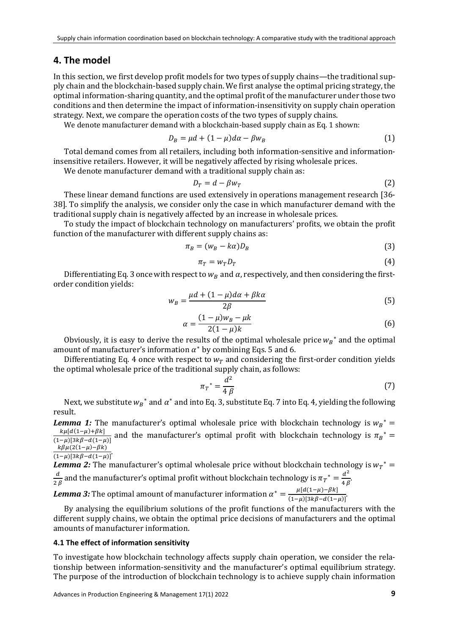### **4. The model**

In this section, we first develop profit models for two types of supply chains—the traditional supply chain and the blockchain-based supply chain. We first analyse the optimal pricing strategy, the optimal information-sharing quantity, and the optimal profit of the manufacturer under those two conditions and then determine the impact of information-insensitivity on supply chain operation strategy. Next, we compare the operation costs of the two types of supply chains.

We denote manufacturer demand with a blockchain-based supply chain as Eq. 1 shown:

$$
D_B = \mu d + (1 - \mu) d\alpha - \beta w_B \tag{1}
$$

Total demand comes from all retailers, including both information-sensitive and informationinsensitive retailers. However, it will be negatively affected by rising wholesale prices.

We denote manufacturer demand with a traditional supply chain as:

$$
D_T = d - \beta w_T \tag{2}
$$

These linear demand functions are used extensively in operations management research [36- 38]. To simplify the analysis, we consider only the case in which manufacturer demand with the traditional supply chain is negatively affected by an increase in wholesale prices.

To study the impact of blockchain technology on manufacturers' profits, we obtain the profit function of the manufacturer with different supply chains as:

$$
\pi_B = (w_B - k\alpha)D_B \tag{3}
$$

$$
\pi_T = w_T D_T \tag{4}
$$

Differentiating Eq. 3 once with respect to  $w_B$  and  $\alpha$ , respectively, and then considering the firstorder condition yields:

$$
w_B = \frac{\mu d + (1 - \mu) d\alpha + \beta k \alpha}{2\beta} \tag{5}
$$

$$
\alpha = \frac{(1 - \mu)w_B - \mu k}{2(1 - \mu)k} \tag{6}
$$

Obviously, it is easy to derive the results of the optimal wholesale price  $w_B^*$  and the optimal amount of manufacturer's information  $\alpha^*$  by combining Eqs. 5 and 6.

Differentiating Eq. 4 once with respect to  $w_T$  and considering the first-order condition yields the optimal wholesale price of the traditional supply chain, as follows:

$$
\pi_T^* = \frac{d^2}{4\beta} \tag{7}
$$

Next, we substitute  $w_B^*$  and  $\alpha^*$  and into Eq. 3, substitute Eq. 7 into Eq. 4, yielding the following result.

*Lemma 1:* The manufacturer's optimal wholesale price with blockchain technology is  $w_B^* =$  $\frac{k\mu[d(1-\mu)+\beta k]}{(1-\mu)[3k\beta-d(1-\mu)]}$  and the manufacturer's optimal profit with blockchain technology is  $\pi_B^*$  =  $k\beta\mu(2(1-\mu)-\beta k)$ *.*

 $(1-\mu)$ [3kβ-d(1−μ)]<sup>-</sup>

*Lemma 2:* The manufacturer's optimal wholesale price without blockchain technology is  $w_T^* =$  $\frac{d}{2\beta}$  and the manufacturer's optimal profit without blockchain technology is  $\pi_T^* = \frac{d^2}{4\beta}$ .

*Lemma 3:* The optimal amount of manufacturer information  $\alpha^* = \frac{\mu |d(1-\mu)-\beta k|}{(1-\mu)[3k\beta - d(1-\mu)]}$ *.*

By analysing the equilibrium solutions of the profit functions of the manufacturers with the different supply chains, we obtain the optimal price decisions of manufacturers and the optimal amounts of manufacturer information.

#### **4.1 The effect of information sensitivity**

To investigate how blockchain technology affects supply chain operation, we consider the relationship between information-sensitivity and the manufacturer's optimal equilibrium strategy. The purpose of the introduction of blockchain technology is to achieve supply chain information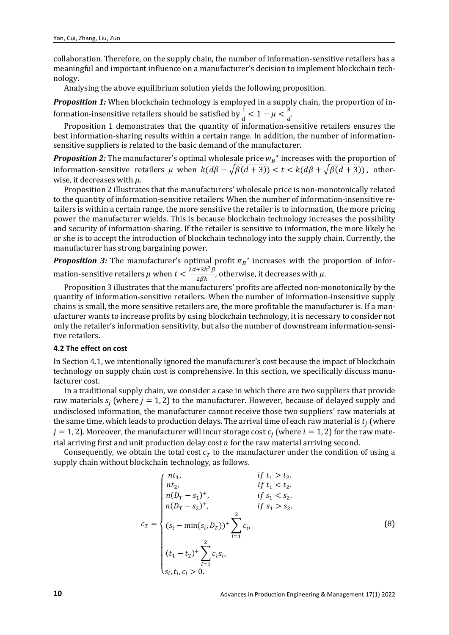collaboration. Therefore, on the supply chain, the number of information-sensitive retailers has a meaningful and important influence on a manufacturer's decision to implement blockchain technology.

Analysing the above equilibrium solution yields the following proposition.

**Proposition 1:** When blockchain technology is employed in a supply chain, the proportion of information-insensitive retailers should be satisfied by  $\frac{1}{d} < 1 - \mu < \frac{3}{d}$ *.*

Proposition 1 demonstrates that the quantity of information-sensitive retailers ensures the best information-sharing results within a certain range. In addition, the number of informationsensitive suppliers is related to the basic demand of the manufacturer.

*Proposition 2:* The manufacturer's optimal wholesale price  $w_B^*$  increases with the proportion of information-sensitive retailers u when  $k(d\beta - \sqrt{\beta(d+3)}) < t < k(d\beta + \sqrt{\beta(d+3)})$ , otherwise, it decreases with  $\mu$ .

Proposition 2 illustrates that the manufacturers' wholesale price is non-monotonically related to the quantity of information-sensitive retailers. When the number of information-insensitive retailers is within a certain range, the more sensitive the retailer is to information, the more pricing power the manufacturer wields. This is because blockchain technology increases the possibility and security of information-sharing. If the retailer is sensitive to information, the more likely he or she is to accept the introduction of blockchain technology into the supply chain. Currently, the manufacturer has strong bargaining power.

*Proposition 3:* The manufacturer's optimal profit  $\pi_B^*$  increases with the proportion of information-sensitive retailers  $\mu$  when  $t < \frac{2d + 3k^2 \beta}{2\beta k}$ , otherwise, it decreases with  $\mu$ .

Proposition 3 illustrates that the manufacturers' profits are affected non-monotonically by the quantity of information-sensitive retailers. When the number of information-insensitive supply chains is small, the more sensitive retailers are, the more profitable the manufacturer is. If a manufacturer wants to increase profits by using blockchain technology, it is necessary to consider not only the retailer's information sensitivity, but also the number of downstream information-sensitive retailers.

#### **4.2 The effect on cost**

In Section 4.1, we intentionally ignored the manufacturer's cost because the impact of blockchain technology on supply chain cost is comprehensive. In this section, we specifically discuss manufacturer cost.

In a traditional supply chain, we consider a case in which there are two suppliers that provide raw materials  $s_i$  (where  $i = 1, 2$ ) to the manufacturer. However, because of delayed supply and undisclosed information, the manufacturer cannot receive those two suppliers' raw materials at the same time, which leads to production delays. The arrival time of each raw material is  $t_i$  (where  $j = 1, 2$ ). Moreover, the manufacturer will incur storage cost  $c_j$  (where  $i = 1, 2$ ) for the raw material arriving first and unit production delay cost  $n$  for the raw material arriving second.

Consequently, we obtain the total cost  $c_T$  to the manufacturer under the condition of using a supply chain without blockchain technology, as follows.

$$
c_{T} = \begin{cases} nt_{1}, & if t_{1} > t_{2}. \\ nt_{2}, & if t_{1} < t_{2}. \\ n(D_{T} - s_{1})^{+}, & if s_{1} < s_{2}. \\ n(D_{T} - s_{2})^{+}, & if s_{1} > s_{2}. \\ (s_{i} - \min(s_{i}, D_{T}))^{+} \sum_{i=1}^{2} c_{i}, \\ (t_{1} - t_{2})^{+} \sum_{i=1}^{2} c_{i} s_{i}, \\ s_{i}, t_{i}, c_{i} > 0. \end{cases}
$$
(8)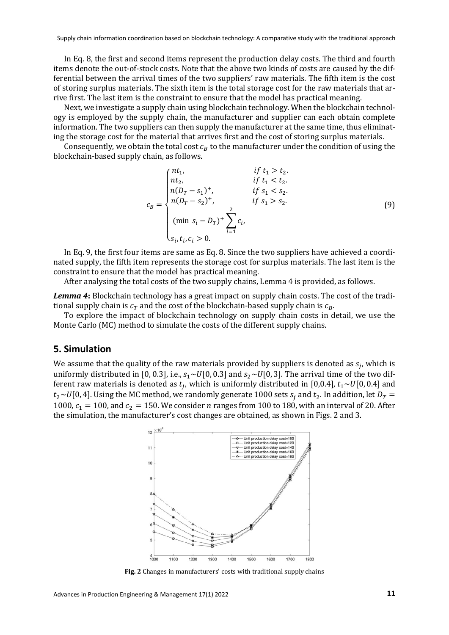In Eq. 8, the first and second items represent the production delay costs. The third and fourth items denote the out-of-stock costs. Note that the above two kinds of costs are caused by the differential between the arrival times of the two suppliers' raw materials. The fifth item is the cost of storing surplus materials. The sixth item is the total storage cost for the raw materials that arrive first. The last item is the constraint to ensure that the model has practical meaning.

Next, we investigate a supply chain using blockchain technology. When the blockchain technology is employed by the supply chain, the manufacturer and supplier can each obtain complete information. The two suppliers can then supply the manufacturer at the same time, thus eliminating the storage cost for the material that arrives first and the cost of storing surplus materials.

Consequently, we obtain the total cost  $c_R$  to the manufacturer under the condition of using the blockchain-based supply chain, as follows.

$$
c_B = \begin{cases} nt_1, & \text{if } t_1 > t_2. \\ nt_2, & \text{if } t_1 < t_2. \\ n(D_T - s_1)^+, & \text{if } s_1 < s_2. \\ n(D_T - s_2)^+, & \text{if } s_1 > s_2. \\ \text{(min } s_i - D_T)^+ \sum_{i=1}^2 c_i, \\ s_i, t_i, c_i > 0. \end{cases} \tag{9}
$$

In Eq. 9, the first four items are same as Eq. 8. Since the two suppliers have achieved a coordinated supply, the fifth item represents the storage cost for surplus materials. The last item is the constraint to ensure that the model has practical meaning.

After analysing the total costs of the two supply chains, Lemma 4 is provided, as follows.

*Lemma 4***:** Blockchain technology has a great impact on supply chain costs. The cost of the traditional supply chain is  $c_T$  and the cost of the blockchain-based supply chain is  $c_B$ .

To explore the impact of blockchain technology on supply chain costs in detail, we use the Monte Carlo (MC) method to simulate the costs of the different supply chains.

### **5. Simulation**

We assume that the quality of the raw materials provided by suppliers is denoted as  $s_i$ , which is uniformly distributed in [0, 0.3], i.e.,  $s_1 \sim U[0, 0.3]$  and  $s_2 \sim U[0, 3]$ . The arrival time of the two different raw materials is denoted as  $t_i$ , which is uniformly distributed in [0,0.4],  $t_1 \sim U[0, 0.4]$  and  $t_2 \sim U[0, 4]$ . Using the MC method, we randomly generate 1000 sets  $s_i$  and  $t_2$ . In addition, let  $D_T =$ 1000,  $c_1 = 100$ , and  $c_2 = 150$ . We consider *n* ranges from 100 to 180, with an interval of 20. After the simulation, the manufacturer's cost changes are obtained, as shown in Figs. 2 and 3.



**Fig. 2** Changes in manufacturers' costs with traditional supply chains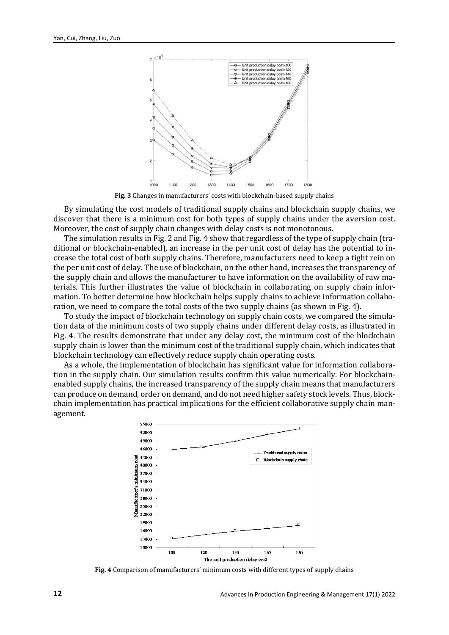

**Fig. 3** Changes in manufacturers' costs with blockchain-based supply chains

By simulating the cost models of traditional supply chains and blockchain supply chains, we discover that there is a minimum cost for both types of supply chains under the aversion cost. Moreover, the cost of supply chain changes with delay costs is not monotonous.

The simulation results in Fig. 2 and Fig. 4 show that regardless of the type of supply chain (traditional or blockchain-enabled), an increase in the per unit cost of delay has the potential to increase the total cost of both supply chains. Therefore, manufacturers need to keep a tight rein on the per unit cost of delay. The use of blockchain, on the other hand, increases the transparency of the supply chain and allows the manufacturer to have information on the availability of raw materials. This further illustrates the value of blockchain in collaborating on supply chain information. To better determine how blockchain helps supply chains to achieve information collaboration, we need to compare the total costs of the two supply chains (as shown in Fig. 4).

To study the impact of blockchain technology on supply chain costs, we compared the simulation data of the minimum costs of two supply chains under different delay costs, as illustrated in Fig. 4. The results demonstrate that under any delay cost, the minimum cost of the blockchain supply chain is lower than the minimum cost of the traditional supply chain, which indicates that blockchain technology can effectively reduce supply chain operating costs.

As a whole, the implementation of blockchain has significant value for information collaboration in the supply chain. Our simulation results confirm this value numerically. For blockchainenabled supply chains, the increased transparency of the supply chain means that manufacturers can produce on demand, order on demand, and do not need higher safety stock levels. Thus, blockchain implementation has practical implications for the efficient collaborative supply chain management.



**Fig. 4** Comparison of manufacturers' minimum costs with different types of supply chains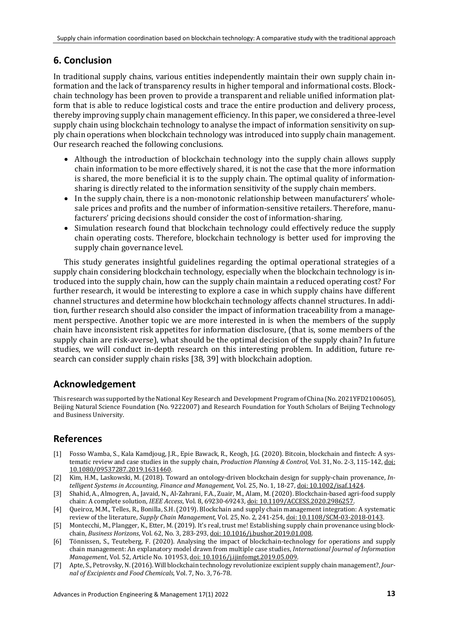# **6. Conclusion**

In traditional supply chains, various entities independently maintain their own supply chain information and the lack of transparency results in higher temporal and informational costs. Blockchain technology has been proven to provide a transparent and reliable unified information platform that is able to reduce logistical costs and trace the entire production and delivery process, thereby improving supply chain management efficiency. In this paper, we considered a three-level supply chain using blockchain technology to analyse the impact of information sensitivity on supply chain operations when blockchain technology was introduced into supply chain management. Our research reached the following conclusions.

- Although the introduction of blockchain technology into the supply chain allows supply chain information to be more effectively shared, it is not the case that the more information is shared, the more beneficial it is to the supply chain. The optimal quality of informationsharing is directly related to the information sensitivity of the supply chain members.
- In the supply chain, there is a non-monotonic relationship between manufacturers' wholesale prices and profits and the number of information-sensitive retailers. Therefore, manufacturers' pricing decisions should consider the cost of information-sharing.
- Simulation research found that blockchain technology could effectively reduce the supply chain operating costs. Therefore, blockchain technology is better used for improving the supply chain governance level.

This study generates insightful guidelines regarding the optimal operational strategies of a supply chain considering blockchain technology, especially when the blockchain technology is introduced into the supply chain, how can the supply chain maintain a reduced operating cost? For further research, it would be interesting to explore a case in which supply chains have different channel structures and determine how blockchain technology affects channel structures. In addition, further research should also consider the impact of information traceability from a management perspective. Another topic we are more interested in is when the members of the supply chain have inconsistent risk appetites for information disclosure, (that is, some members of the supply chain are risk-averse), what should be the optimal decision of the supply chain? In future studies, we will conduct in-depth research on this interesting problem. In addition, future research can consider supply chain risks [38, 39] with blockchain adoption.

# **Acknowledgement**

This research was supported by the National Key Research and Development Program of China (No. 2021YFD2100605), Beijing Natural Science Foundation (No. 9222007) and Research Foundation for Youth Scholars of Beijing Technology and Business University.

# **References**

- [1] Fosso Wamba, S., Kala Kamdjoug, J.R., Epie Bawack, R., Keogh, J.G. (2020). Bitcoin, blockchain and fintech: A systematic review and case studies in the supply chain, *Production Planning & Control,* Vol. 31, No. 2-3, 115-142[, doi:](https://doi.org/10.1080/09537287.2019.1631460)  [10.1080/09537287.2019.1631460.](https://doi.org/10.1080/09537287.2019.1631460)
- [2] Kim, H.M., Laskowski, M. (2018). Toward an ontology-driven blockchain design for supply-chain provenance, *Intelligent Systems in Accounting, Finance and Management,* Vol. 25, No. 1, 18-27[, doi: 10.1002/isaf.1424.](https://doi.org/10.1002/isaf.1424)
- [3] Shahid, A., Almogren, A., Javaid, N., Al-Zahrani, F.A., Zuair, M., Alam, M. (2020). Blockchain-based agri-food supply chain: A complete solution, *IEEE Access*, Vol. 8, 69230-69243[, doi: 10.1109/ACCESS.2020.2986257.](https://doi.org/10.1109/ACCESS.2020.2986257)
- [4] Queiroz, M.M., Telles, R., Bonilla, S.H. (2019). Blockchain and supply chain management integration: A systematic review of the literature, *Supply Chain Management,* Vol. 25, No. 2, 241-254[, doi: 10.1108/SCM-03-2018-0143.](https://doi.org/10.1108/SCM-03-2018-0143)
- [5] Montecchi, M., Plangger, K., Etter, M. (2019). It's real, trust me! Establishing supply chain provenance using blockchain, *Business Horizons*, Vol. 62, No. 3, 283-293[, doi: 10.1016/j.bushor.2019.01.008.](https://doi.org/10.1016/j.bushor.2019.01.008)
- [6] Tönnissen, S., Teuteberg, F. (2020). Analysing the impact of blockchain-technology for operations and supply chain management: An explanatory model drawn from multiple case studies, *International Journal of Information Management*, Vol. 52, Article No. 101953[, doi: 10.1016/j.ijinfomgt.2019.05.009.](https://doi.org/10.1016/j.ijinfomgt.2019.05.009)
- [7] Apte, S., Petrovsky, N. (2016). Will blockchain technology revolutionize excipient supply chain management?, *Journal of Excipients and Food Chemicals*, Vol. 7, No. 3, 76-78.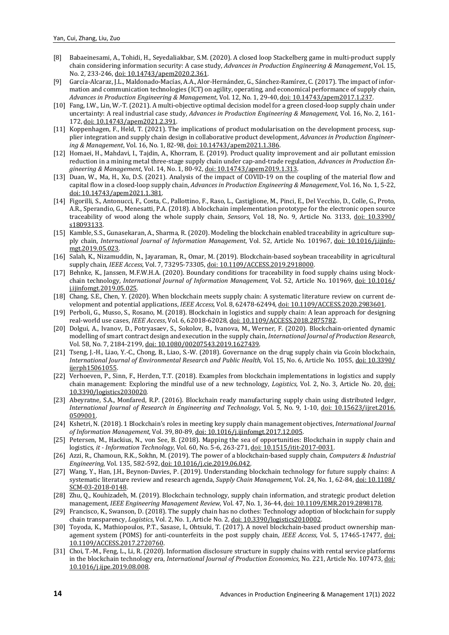- [8] Babaeinesami, A., Tohidi, H., Seyedaliakbar, S.M. (2020). A closed loop Stackelberg game in multi-product supply chain considering information security: A case study, *Advances in Production Engineering & Management*, Vol. 15, No. 2, 233-246[, doi: 10.14743/apem2020.2.361.](https://doi.org/10.14743/apem2020.2.361)
- [9] García-Alcaraz, J.L., Maldonado-Macías, A.A., Alor-Hernández, G., Sánchez-Ramírez, C. (2017). The impact of information and communication technologies (ICT) on agility, operating, and economical performance of supply chain, *Advances in Production Engineering & Management*, Vol. 12, No. 1, 29-40[, doi: 10.14743/apem2017.1.237.](https://doi.org/10.14743/apem2017.1.237)
- [10] Fang, I.W., Lin, W.-T. (2021). A multi-objective optimal decision model for a green closed-loop supply chain under uncertainty: A real industrial case study, *Advances in Production Engineering & Management*, Vol. 16, No. 2, 161- 172[, doi: 10.14743/apem2021.2.391.](https://doi.org/10.14743/apem2021.2.391)
- [11] Koppenhagen, F., Held, T. (2021). The implications of product modularisation on the development process, supplier integration and supply chain design in collaborative product development, *Advances in Production Engineering & Management*, Vol. 16, No. 1, 82-98, [doi: 10.14743/apem2021.1.386.](https://doi.org/10.14743/apem2021.1.386)
- [12] Homaei, H., Mahdavi, I., Tajdin, A., Khorram, E. (2019). Product quality improvement and air pollutant emission reduction in a mining metal three-stage supply chain under cap-and-trade regulation, *Advances in Production Engineering & Management*, Vol. 14, No. 1, 80-92[, doi: 10.14743/apem2019.1.313.](https://doi.org/10.14743/apem2019.1.313)
- [13] Duan, W., Ma, H., Xu, D.S. (2021). Analysis of the impact of COVID-19 on the coupling of the material flow and capital flow in a closed-loop supply chain, *Advances in Production Engineering & Management*, Vol. 16, No. 1, 5-22, [doi: 10.14743/apem2021.1.381.](https://doi.org/10.14743/apem2021.1.381)
- [14] Figorilli, S., Antonucci, F., Costa, C., Pallottino, F., Raso, L., Castiglione, M., Pinci, E., Del Vecchio, D., Colle, G., Proto, A.R., Sperandio, G., Menesatti, P.A. (2018). A blockchain implementation prototype for the electronic open source traceability of wood along the whole supply chain, *Sensors*, Vol. 18, No. 9, Article No. 3133, [doi: 10.3390/](https://doi.org/10.3390/s18093133) [s18093133.](https://doi.org/10.3390/s18093133)
- [15] Kamble, S.S., Gunasekaran, A., Sharma, R. (2020). Modeling the blockchain enabled traceability in agriculture supply chain, *International Journal of Information Management*, Vol. 52, Article No. 101967, [doi: 10.1016/j.ijinfo](https://doi.org/10.1016/j.ijinfomgt.2019.05.023)[mgt.2019.05.023.](https://doi.org/10.1016/j.ijinfomgt.2019.05.023)
- [16] Salah, K., Nizamuddin, N., Jayaraman, R., Omar, M. (2019). Blockchain-based soybean traceability in agricultural supply chain, *IEEE Access*, Vol. 7, 73295-73305[, doi: 10.1109/ACCESS.2019.2918000.](https://doi.org/10.1109/ACCESS.2019.2918000)
- [17] Behnke, K., Janssen, M.F.W.H.A. (2020). Boundary conditions for traceability in food supply chains using blockchain technology, *International Journal of Information Management*, Vol. 52, Article No. 101969, [doi: 10.1016/](https://doi.org/10.1016/j.ijinfomgt.2019.05.025) [j.ijinfomgt.2019.05.025.](https://doi.org/10.1016/j.ijinfomgt.2019.05.025)
- [18] Chang, S.E., Chen, Y. (2020). When blockchain meets supply chain: A systematic literature review on current development and potential applications, *IEEE Access*, Vol. 8, 62478-62494[, doi: 10.1109/ACCESS.2020.2983601.](https://doi.org/10.1109/ACCESS.2020.2983601)
- [19] Perboli, G., Musso, S., Rosano, M. (2018). Blockchain in logistics and supply chain: A lean approach for designing real-world use cases, *IEEE Access*, Vol. 6, 62018-62028[, doi: 10.1109/ACCESS.2018.2875782.](https://doi.org/10.1109/ACCESS.2018.2875782)
- [20] Dolgui, A., Ivanov, D., Potryasaev, S., Sokolov, B., Ivanova, M., Werner, F. (2020). Blockchain-oriented dynamic modelling of smart contract design and execution in the supply chain, *International Journal of Production Research*, Vol. 58, No. 7, 2184-2199[, doi: 10.1080/00207543.2019.1627439.](https://doi.org/10.1080/00207543.2019.1627439)
- [21] Tseng, J.-H., Liao, Y.-C., Chong, B., Liao, S.-W. (2018). Governance on the drug supply chain via Gcoin blockchain, *International Journal of Environmental Research and Public Health,* Vol. 15, No. 6, Article No. 1055[, doi: 10.3390/](https://doi.org/10.3390/ijerph15061055) [ijerph15061055.](https://doi.org/10.3390/ijerph15061055)
- [22] Verhoeven, P., Sinn, F., Herden, T.T. (2018). Examples from blockchain implementations in logistics and supply chain management: Exploring the mindful use of a new technology, *Logistics*, Vol. 2, No. 3, Article No. 20, [doi:](https://doi.org/10.3390/logistics2030020)  [10.3390/logistics2030020.](https://doi.org/10.3390/logistics2030020)
- [23] Abeyratne, S.A., Monfared, R.P. (2016). Blockchain ready manufacturing supply chain using distributed ledger, *International Journal of Research in Engineering and Technology*, Vol. 5, No. 9, 1-10, [doi: 10.15623/ijret.2016.](https://doi.org/10.15623/ijret.2016.0509001) [0509001.](https://doi.org/10.15623/ijret.2016.0509001)
- [24] Kshetri, N. (2018). 1 Blockchain's roles in meeting key supply chain management objectives, *International Journal of Information Management,* Vol. 39, 80-89[, doi: 10.1016/j.ijinfomgt.2017.12.005.](https://doi.org/10.1016/j.ijinfomgt.2017.12.005)
- Petersen, M., Hackius, N., von See, B. (2018). Mapping the sea of opportunities: Blockchain in supply chain and logistics, *it - Information Technology,* Vol. 60, No. 5-6, 263-271[, doi: 10.1515/itit-2017-0031.](https://doi.org/10.1515/itit-2017-0031)
- [26] Azzi, R., Chamoun, R.K., Sokhn, M. (2019). The power of a blockchain-based supply chain, *Computers & Industrial Engineering,* Vol. 135, 582-592[, doi: 10.1016/j.cie.2019.06.042.](https://doi.org/10.1016/j.cie.2019.06.042)
- [27] Wang, Y., Han, J.H., Beynon-Davies, P. (2019). Understanding blockchain technology for future supply chains: A systematic literature review and research agenda, *Supply Chain Management,* Vol. 24, No. 1, 62-84[, doi: 10.1108/](https://doi.org/10.1108/SCM-03-2018-0148) [SCM-03-2018-0148.](https://doi.org/10.1108/SCM-03-2018-0148)
- [28] Zhu, Q., Kouhizadeh, M. (2019). Blockchain technology, supply chain information, and strategic product deletion management, *IEEE Engineering Management Review,* Vol. 47, No. 1, 36-44[, doi: 10.1109/EMR.2019.2898178.](https://doi.org/10.1109/EMR.2019.2898178)
- [29] Francisco, K., Swanson, D. (2018). The supply chain has no clothes: Technology adoption of blockchain for supply chain transparency, *Logistics,* Vol. 2, No. 1, Article No. 2[, doi: 10.3390/logistics2010002.](https://doi.org/10.3390/logistics2010002)
- [30] Toyoda, K., Mathiopoulos, P.T., Sasase, I., Ohtsuki, T. (2017). A novel blockchain-based product ownership management system (POMS) for anti-counterfeits in the post supply chain, *IEEE Access,* Vol. 5, 17465-17477, [doi:](https://doi.org/10.1109/ACCESS.2017.2720760) [10.1109/ACCESS.2017.2720760.](https://doi.org/10.1109/ACCESS.2017.2720760)
- [31] Choi, T.-M., Feng, L., Li, R. (2020). Information disclosure structure in supply chains with rental service platforms in the blockchain technology era, *International Journal of Production Economics,* No. 221, Article No. 107473, [doi:](https://doi.org/10.1016/j.ijpe.2019.08.008)  [10.1016/j.ijpe.2019.08.008.](https://doi.org/10.1016/j.ijpe.2019.08.008)